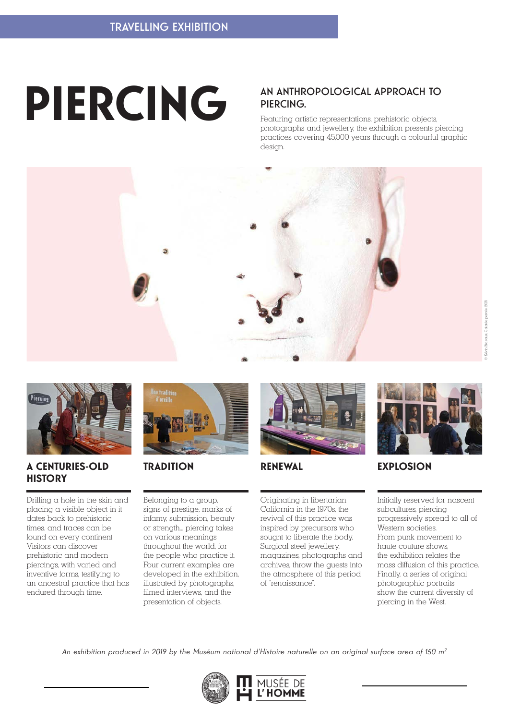# **PIERCING**

### AN ANTHROPOLOGICAL APPROACH TO PIERCING.

Featuring artistic representations, prehistoric objects, photographs and jewellery, the exhibition presents piercing practices covering 45,000 years through a colourful graphic design.





#### **A CENTURIES-OLD TRADITION RENEWAL HISTORY**

Drilling a hole in the skin and placing a visible object in it dates back to prehistoric times. and traces can be found on every continent. Visitors can discover prehistoric and modern piercings, with varied and inventive forms, testifying to an ancestral practice that has endured through time.



Belonging to a group, signs of prestige, marks of infamy, submission, beauty or strength... piercing takes on various meanings throughout the world, for the people who practice it. Four current examples are developed in the exhibition, illustrated by photographs, filmed interviews, and the presentation of objects.



Originating in libertarian California in the 1970s, the revival of this practice was inspired by precursors who sought to liberate the body. Surgical steel jewellery, magazines, photographs and archives, throw the guests into the atmosphere of this period of "renaissance".



## **EXPLOSION**

Initially reserved for nascent subcultures, piercing progressively spread to all of Western societies. From punk movement to haute couture shows, the exhibition relates the mass diffusion of this practice. Finally, a series of original photographic portraits show the current diversity of piercing in the West.

*An exhibition produced in 2019 by the Muséum national d'Histoire naturelle on an original surface area of 150 m2*